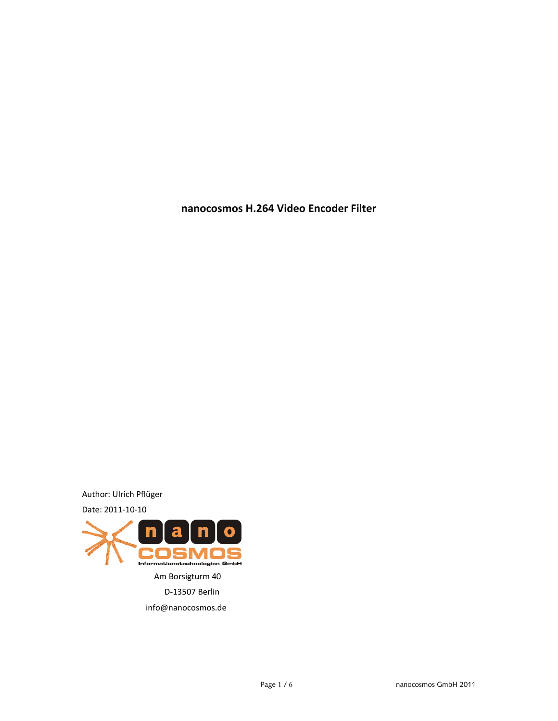**nanocosmos H.264 Video Encoder Filter**

Author: Ulrich Pflüger Date: 2011-10-10

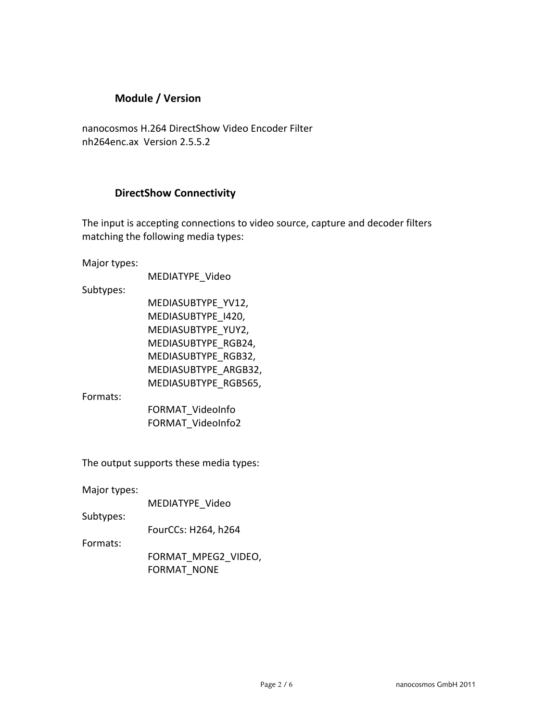## **Module / Version**

nanocosmos H.264 DirectShow Video Encoder Filter nh264enc.ax Version 2.5.5.2

## **DirectShow Connectivity**

The input is accepting connections to video source, capture and decoder filters matching the following media types:

Major types:

MEDIATYPE\_Video

Subtypes:

MEDIASUBTYPE\_YV12, MEDIASUBTYPE\_I420, MEDIASUBTYPE\_YUY2, MEDIASUBTYPE\_RGB24, MEDIASUBTYPE\_RGB32, MEDIASUBTYPE\_ARGB32, MEDIASUBTYPE\_RGB565,

Formats:

FORMAT\_VideoInfo FORMAT\_VideoInfo2

The output supports these media types:

Major types:

MEDIATYPE\_Video

Subtypes:

FourCCs: H264, h264

Formats:

FORMAT\_MPEG2\_VIDEO, FORMAT\_NONE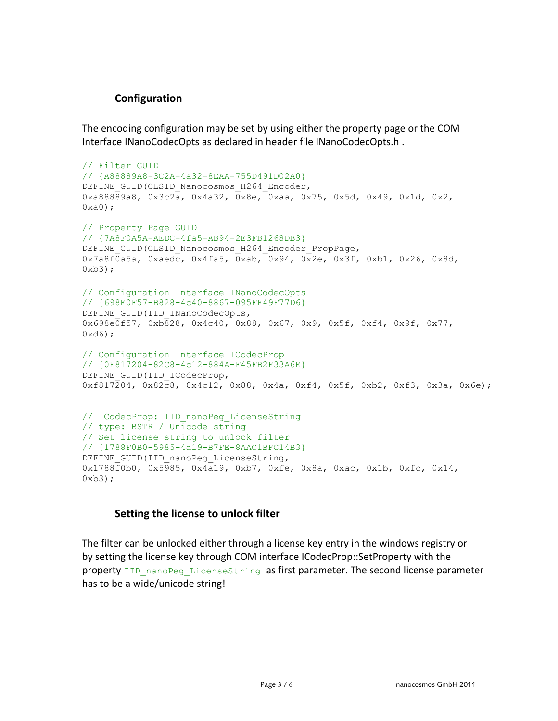## **Configuration**

The encoding configuration may be set by using either the property page or the COM Interface INanoCodecOpts as declared in header file INanoCodecOpts.h .

```
// Filter GUID
// {A88889A8-3C2A-4a32-8EAA-755D491D02A0}
DEFINE GUID(CLSID_Nanocosmos_H264_Encoder,
0xa88889a8, 0x3c2a, 0x4a32, 0x8e, 0xaa, 0x75, 0x5d, 0x49, 0x1d, 0x2,
0xa0;
// Property Page GUID
// {7A8F0A5A-AEDC-4fa5-AB94-2E3FB1268DB3}
DEFINE GUID(CLSID Nanocosmos H264 Encoder PropPage,
0x7a8f0a5a, 0xaedc, 0x4fa5, 0xab, 0x94, 0x2e, 0x3f, 0xb1, 0x26, 0x8d,
0xb3;
// Configuration Interface INanoCodecOpts
// {698E0F57-B828-4c40-8867-095FF49F77D6}
DEFINE GUID(IID INanoCodecOpts,
0x698e0f57, 0xb828, 0x4c40, 0x88, 0x67, 0x9, 0x5f, 0xf4, 0x9f, 0x77,
0xd6);
// Configuration Interface ICodecProp
// {0F817204-82C8-4c12-884A-F45FB2F33A6E}
DEFINE GUID(IID ICodecProp,
0xf817204, 0x82c8, 0x4c12, 0x88, 0x4a, 0xf4, 0x5f, 0xb2, 0xf3, 0x3a, 0x6e);
// ICodecProp: IID_nanoPeg_LicenseString
// type: BSTR / Unicode string
// Set license string to unlock filter
// {1788F0B0-5985-4a19-B7FE-8AAC1BFC14B3}
DEFINE GUID(IID nanoPeg LicenseString,
0x1788f0b0, 0x5985, 0x4a19, 0xb7, 0xfe, 0x8a, 0xac, 0x1b, 0xfc, 0x14,
0xb3;
```
### **Setting the license to unlock filter**

The filter can be unlocked either through a license key entry in the windows registry or by setting the license key through COM interface ICodecProp::SetProperty with the property IID nanoPeg LicenseString as first parameter. The second license parameter has to be a wide/unicode string!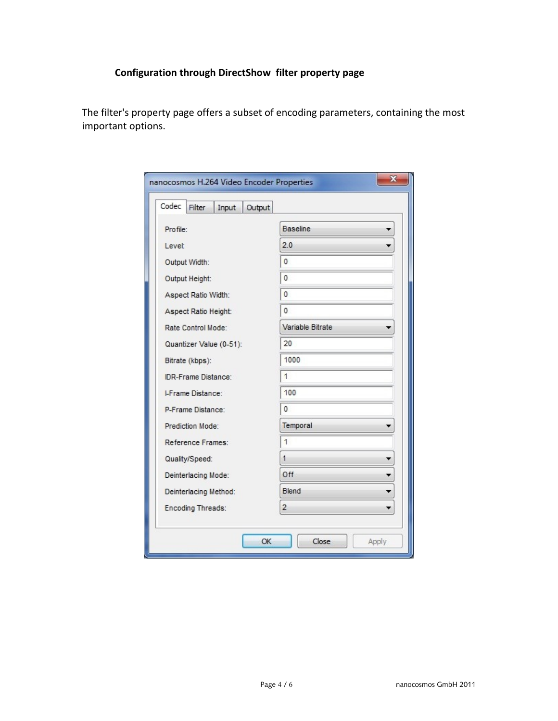# **Configuration through DirectShow filter property page**

The filter's property page offers a subset of encoding parameters, containing the most important options.

| Codec<br>Filter<br>Output<br>Input |                  |  |
|------------------------------------|------------------|--|
| Profile:                           | <b>Baseline</b>  |  |
| Level:                             | 2.0              |  |
| Output Width:                      | $\bf{0}$         |  |
| Output Height:                     | 0                |  |
| Aspect Ratio Width:                | $\mathbf{0}$     |  |
| Aspect Ratio Height:               | $\mathbf{0}$     |  |
| Rate Control Mode:                 | Variable Bitrate |  |
| Quantizer Value (0-51):            | 20               |  |
| Bitrate (kbps):                    | 1000             |  |
| <b>IDR-Frame Distance:</b>         | $\overline{1}$   |  |
| <b>LFrame Distance:</b>            | 100              |  |
| P-Frame Distance:                  | $\mathbf{0}$     |  |
| Prediction Mode:                   | Temporal         |  |
| Reference Frames:                  | $\overline{1}$   |  |
| Quality/Speed:                     | $\mathbf{1}$     |  |
| Deinterlacing Mode:                | Off              |  |
| Deinterlacing Method:              | Blend            |  |
| Encoding Threads:                  | $\overline{2}$   |  |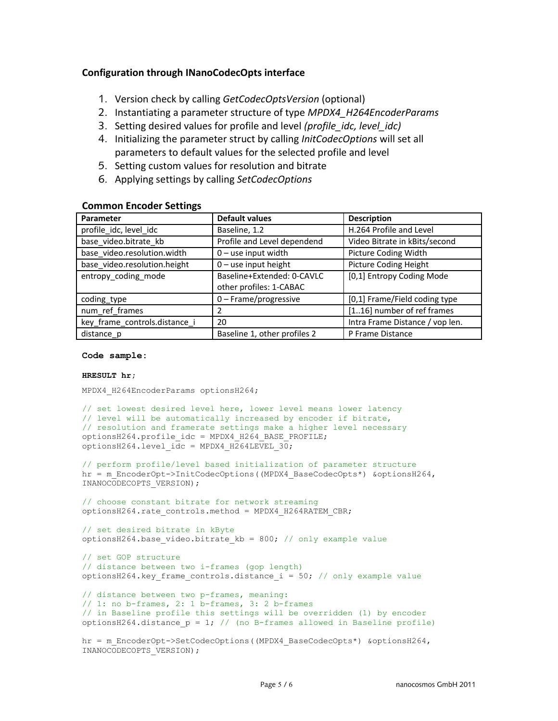### **Configuration through INanoCodecOpts interface**

- 1. Version check by calling *GetCodecOptsVersion* (optional)
- 2. Instantiating a parameter structure of type *MPDX4\_H264EncoderParams*
- 3. Setting desired values for profile and level *(profile\_idc, level\_idc)*
- 4. Initializing the parameter struct by calling *InitCodecOptions* will set all parameters to default values for the selected profile and level
- 5. Setting custom values for resolution and bitrate
- 6. Applying settings by calling *SetCodecOptions*

#### **Common Encoder Settings**

| Parameter                     | <b>Default values</b>        | <b>Description</b>              |
|-------------------------------|------------------------------|---------------------------------|
| profile_idc, level_idc        | Baseline, 1.2                | H.264 Profile and Level         |
| base video.bitrate kb         | Profile and Level dependend  | Video Bitrate in kBits/second   |
| base video.resolution.width   | $0$ – use input width        | Picture Coding Width            |
| base video.resolution.height  | $0$ – use input height       | Picture Coding Height           |
| entropy_coding_mode           | Baseline+Extended: 0-CAVLC   | [0,1] Entropy Coding Mode       |
|                               | other profiles: 1-CABAC      |                                 |
| coding type                   | $0$ – Frame/progressive      | [0,1] Frame/Field coding type   |
| num ref frames                | 2                            | [116] number of ref frames      |
| key frame controls.distance i | 20                           | Intra Frame Distance / vop len. |
| distance_p                    | Baseline 1, other profiles 2 | P Frame Distance                |

#### **Code sample:**

#### **HRESULT hr;**

MPDX4 H264EncoderParams optionsH264;

```
// set lowest desired level here, lower level means lower latency
// level will be automatically increased by encoder if bitrate,
// resolution and framerate settings make a higher level necessary
optionsH264.profile_idc = MPDX4_H264_BASE_PROFILE;
optionsH264.level i\bar{d}c = MPDX4 H264LEVEL 30;
```
// perform profile/level based initialization of parameter structure hr = m EncoderOpt->InitCodecOptions((MPDX4 BaseCodecOpts\*) &optionsH264, INANOCODECOPTS VERSION);

```
// choose constant bitrate for network streaming
optionsH264.rate_controls.method = MPDX4_H264RATEM_CBR;
```

```
// set desired bitrate in kByte
optionsH264.base video.bitrate kb = 800; // only example value
```

```
// set GOP structure
// distance between two i-frames (gop length)
optionsH264.key frame controls.distance i = 50; // only example value
```

```
// distance between two p-frames, meaning:
// 1: no b-frames, 2: 1 b-frames, 3: 2 b-frames
// in Baseline profile this settings will be overridden (1) by encoder
optionsH264.distance p = 1; // (no B-frames allowed in Baseline profile)
```

```
hr = m_EncoderOpt->SetCodecOptions((MPDX4_BaseCodecOpts*) &optionsH264,
INANOCODECOPTS VERSION);
```